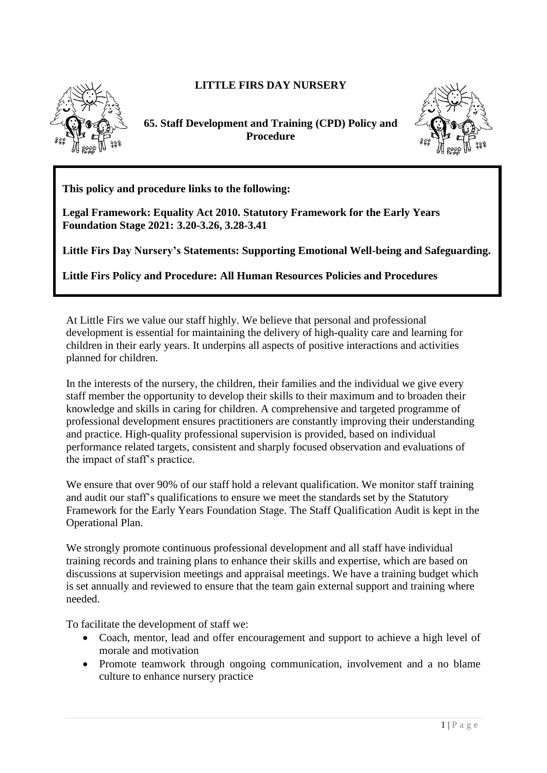## **LITTLE FIRS DAY NURSERY**



**65. Staff Development and Training (CPD) Policy and Procedure** 



**This policy and procedure links to the following:** 

**Legal Framework: Equality Act 2010. Statutory Framework for the Early Years Foundation Stage 2021: 3.20-3.26, 3.28-3.41**

**Little Firs Day Nursery's Statements: Supporting Emotional Well-being and Safeguarding.**

**Little Firs Policy and Procedure: All Human Resources Policies and Procedures**

At Little Firs we value our staff highly. We believe that personal and professional development is essential for maintaining the delivery of high-quality care and learning for children in their early years. It underpins all aspects of positive interactions and activities planned for children.

In the interests of the nursery, the children, their families and the individual we give every staff member the opportunity to develop their skills to their maximum and to broaden their knowledge and skills in caring for children. A comprehensive and targeted programme of professional development ensures practitioners are constantly improving their understanding and practice. High-quality professional supervision is provided, based on individual performance related targets, consistent and sharply focused observation and evaluations of the impact of staff's practice.

We ensure that over 90% of our staff hold a relevant qualification. We monitor staff training and audit our staff's qualifications to ensure we meet the standards set by the Statutory Framework for the Early Years Foundation Stage. The Staff Qualification Audit is kept in the Operational Plan.

We strongly promote continuous professional development and all staff have individual training records and training plans to enhance their skills and expertise, which are based on discussions at supervision meetings and appraisal meetings. We have a training budget which is set annually and reviewed to ensure that the team gain external support and training where needed.

To facilitate the development of staff we:

- Coach, mentor, lead and offer encouragement and support to achieve a high level of morale and motivation
- Promote teamwork through ongoing communication, involvement and a no blame culture to enhance nursery practice